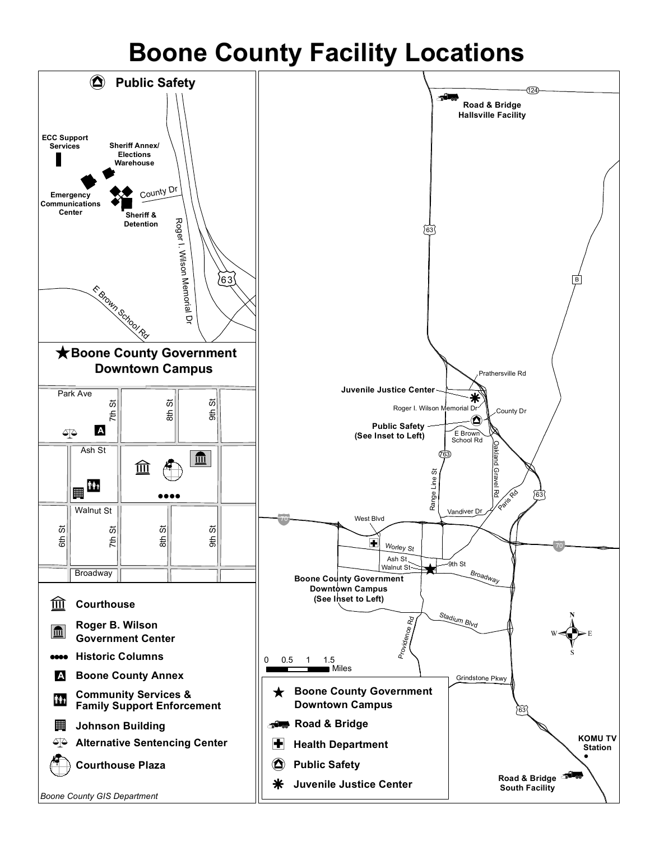## **Boone County Facility Locations**